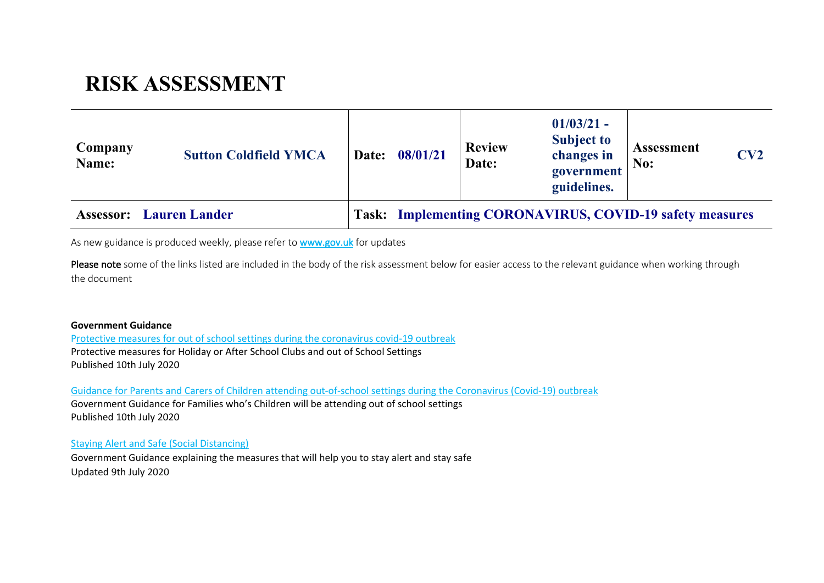# **RISK ASSESSMENT**

| Company<br>Name: | <b>Sutton Coldfield YMCA</b> |                                                          | Date: 08/01/21 | <b>Review</b><br>Date: | $01/03/21 -$<br><b>Subject to</b><br>changes in<br>government<br>guidelines. | <b>Assessment</b><br>No: | CV2 |
|------------------|------------------------------|----------------------------------------------------------|----------------|------------------------|------------------------------------------------------------------------------|--------------------------|-----|
| <b>Assessor:</b> | <b>Lauren Lander</b>         | Task: Implementing CORONAVIRUS, COVID-19 safety measures |                |                        |                                                                              |                          |     |

As new guidance is produced weekly, please refer to **www.gov.uk** for updates

Please note some of the links listed are included in the body of the risk assessment below for easier access to the relevant guidance when working through the document

#### **Government Guidance**

Protective measures for out of school settings during the coronavirus covid-19 outbreak Protective measures for Holiday or After School Clubs and out of School Settings Published 10th July 2020

Guidance for Parents and Carers of Children attending out-of-school settings during the Coronavirus (Covid-19) outbreak Government Guidance for Families who's Children will be attending out of school settings Published 10th July 2020

Staying Alert and Safe (Social Distancing)

Government Guidance explaining the measures that will help you to stay alert and stay safe Updated 9th July 2020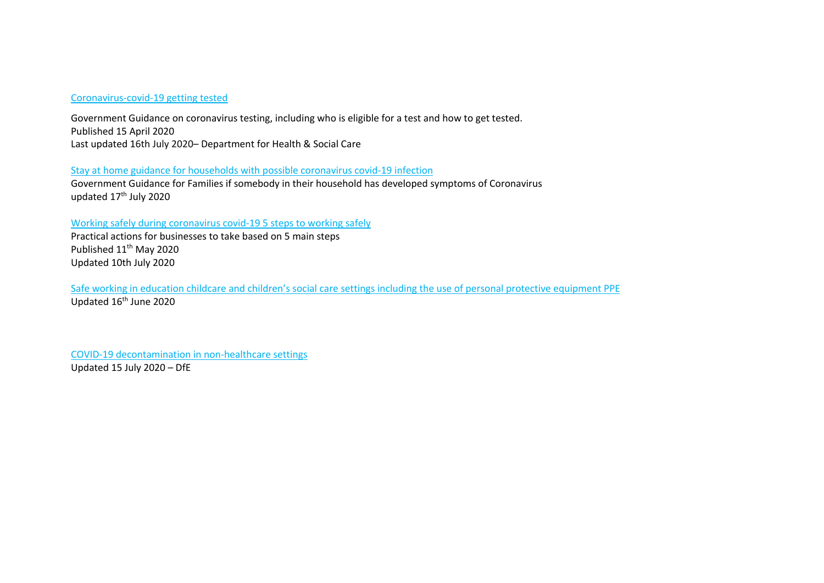#### Coronavirus-covid-19 getting tested

Government Guidance on coronavirus testing, including who is eligible for a test and how to get tested. Published 15 April 2020 Last updated 16th July 2020– Department for Health & Social Care

## Stay at home guidance for households with possible coronavirus covid-19 infection

Government Guidance for Families if somebody in their household has developed symptoms of Coronavirus updated 17<sup>th</sup> July 2020

### Working safely during coronavirus covid-19 5 steps to working safely

Practical actions for businesses to take based on 5 main steps Published 11<sup>th</sup> May 2020 Updated 10th July 2020

Safe working in education childcare and children's social care settings including the use of personal protective equipment PPE Updated 16<sup>th</sup> June 2020

COVID-19 decontamination in non-healthcare settings Updated 15 July 2020 – DfE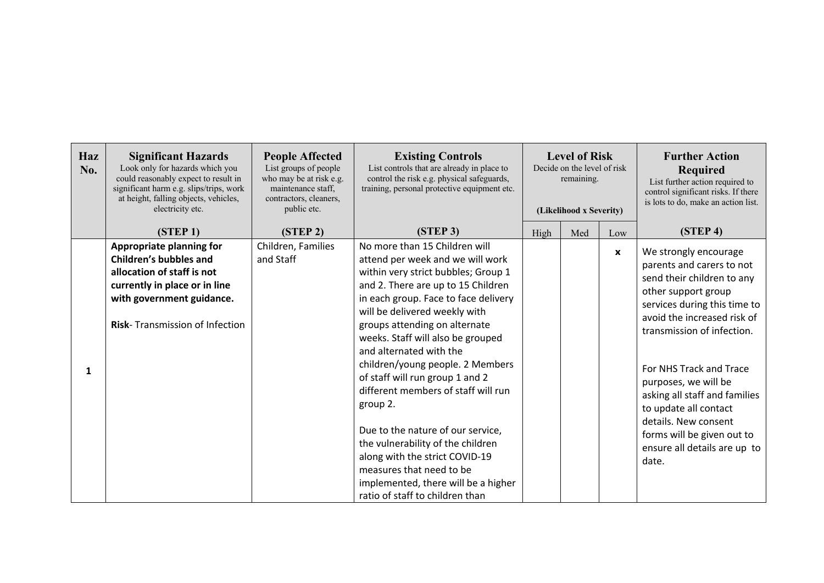| Haz<br>No. | <b>Significant Hazards</b><br>Look only for hazards which you<br>could reasonably expect to result in<br>significant harm e.g. slips/trips, work<br>at height, falling objects, vehicles,<br>electricity etc. | <b>People Affected</b><br>List groups of people<br>who may be at risk e.g.<br>maintenance staff,<br>contractors, cleaners,<br>public etc. | <b>Existing Controls</b><br>List controls that are already in place to<br>control the risk e.g. physical safeguards,<br>training, personal protective equipment etc.                                                                                                                                                                                                                                                                                                                                                                                                                                                                                                 | <b>Level of Risk</b><br>Decide on the level of risk<br>remaining.<br>(Likelihood x Severity) |     |             | <b>Further Action</b><br><b>Required</b><br>List further action required to<br>control significant risks. If there<br>is lots to do, make an action list.                                                                                                                                                                                                                                                        |
|------------|---------------------------------------------------------------------------------------------------------------------------------------------------------------------------------------------------------------|-------------------------------------------------------------------------------------------------------------------------------------------|----------------------------------------------------------------------------------------------------------------------------------------------------------------------------------------------------------------------------------------------------------------------------------------------------------------------------------------------------------------------------------------------------------------------------------------------------------------------------------------------------------------------------------------------------------------------------------------------------------------------------------------------------------------------|----------------------------------------------------------------------------------------------|-----|-------------|------------------------------------------------------------------------------------------------------------------------------------------------------------------------------------------------------------------------------------------------------------------------------------------------------------------------------------------------------------------------------------------------------------------|
|            | (STEP <sub>1</sub> )                                                                                                                                                                                          | (STEP <sub>2</sub> )                                                                                                                      | (STEP 3)                                                                                                                                                                                                                                                                                                                                                                                                                                                                                                                                                                                                                                                             | High                                                                                         | Med | Low         | (STEP <sub>4</sub> )                                                                                                                                                                                                                                                                                                                                                                                             |
| 1          | <b>Appropriate planning for</b><br><b>Children's bubbles and</b><br>allocation of staff is not<br>currently in place or in line<br>with government guidance.<br><b>Risk-</b> Transmission of Infection        | Children, Families<br>and Staff                                                                                                           | No more than 15 Children will<br>attend per week and we will work<br>within very strict bubbles; Group 1<br>and 2. There are up to 15 Children<br>in each group. Face to face delivery<br>will be delivered weekly with<br>groups attending on alternate<br>weeks. Staff will also be grouped<br>and alternated with the<br>children/young people. 2 Members<br>of staff will run group 1 and 2<br>different members of staff will run<br>group 2.<br>Due to the nature of our service,<br>the vulnerability of the children<br>along with the strict COVID-19<br>measures that need to be<br>implemented, there will be a higher<br>ratio of staff to children than |                                                                                              |     | $\mathbf x$ | We strongly encourage<br>parents and carers to not<br>send their children to any<br>other support group<br>services during this time to<br>avoid the increased risk of<br>transmission of infection.<br>For NHS Track and Trace<br>purposes, we will be<br>asking all staff and families<br>to update all contact<br>details. New consent<br>forms will be given out to<br>ensure all details are up to<br>date. |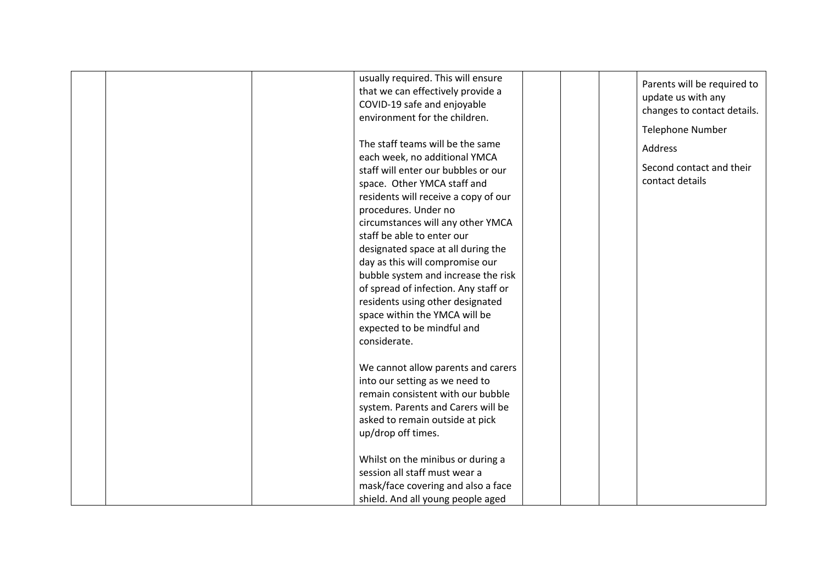| usually required. This will ensure<br>that we can effectively provide a<br>COVID-19 safe and enjoyable<br>environment for the children.                                                                                                                                                                                                                                                                                                                                                                                               | Parents will be required to<br>update us with any<br>changes to contact details.<br><b>Telephone Number</b> |
|---------------------------------------------------------------------------------------------------------------------------------------------------------------------------------------------------------------------------------------------------------------------------------------------------------------------------------------------------------------------------------------------------------------------------------------------------------------------------------------------------------------------------------------|-------------------------------------------------------------------------------------------------------------|
| The staff teams will be the same<br>each week, no additional YMCA<br>staff will enter our bubbles or our<br>space. Other YMCA staff and<br>residents will receive a copy of our<br>procedures. Under no<br>circumstances will any other YMCA<br>staff be able to enter our<br>designated space at all during the<br>day as this will compromise our<br>bubble system and increase the risk<br>of spread of infection. Any staff or<br>residents using other designated<br>space within the YMCA will be<br>expected to be mindful and | <b>Address</b><br>Second contact and their<br>contact details                                               |
| considerate.<br>We cannot allow parents and carers<br>into our setting as we need to<br>remain consistent with our bubble<br>system. Parents and Carers will be<br>asked to remain outside at pick<br>up/drop off times.<br>Whilst on the minibus or during a<br>session all staff must wear a<br>mask/face covering and also a face<br>shield. And all young people aged                                                                                                                                                             |                                                                                                             |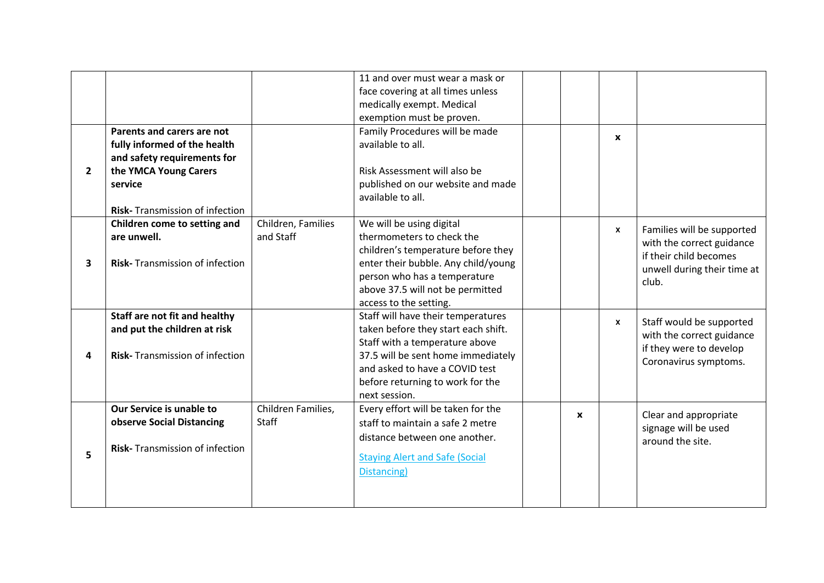|              |                                                                                                                                                                         |                                 | 11 and over must wear a mask or<br>face covering at all times unless<br>medically exempt. Medical<br>exemption must be proven.                                                                                                           |              |              |                                                                                                                           |
|--------------|-------------------------------------------------------------------------------------------------------------------------------------------------------------------------|---------------------------------|------------------------------------------------------------------------------------------------------------------------------------------------------------------------------------------------------------------------------------------|--------------|--------------|---------------------------------------------------------------------------------------------------------------------------|
| $\mathbf{2}$ | Parents and carers are not<br>fully informed of the health<br>and safety requirements for<br>the YMCA Young Carers<br>service<br><b>Risk-</b> Transmission of infection |                                 | Family Procedures will be made<br>available to all.<br>Risk Assessment will also be<br>published on our website and made<br>available to all.                                                                                            |              | $\mathbf{x}$ |                                                                                                                           |
| 3            | Children come to setting and<br>are unwell.<br><b>Risk-</b> Transmission of infection                                                                                   | Children, Families<br>and Staff | We will be using digital<br>thermometers to check the<br>children's temperature before they<br>enter their bubble. Any child/young<br>person who has a temperature<br>above 37.5 will not be permitted<br>access to the setting.         |              | $\mathsf{x}$ | Families will be supported<br>with the correct guidance<br>if their child becomes<br>unwell during their time at<br>club. |
| 4            | Staff are not fit and healthy<br>and put the children at risk<br><b>Risk-</b> Transmission of infection                                                                 |                                 | Staff will have their temperatures<br>taken before they start each shift.<br>Staff with a temperature above<br>37.5 will be sent home immediately<br>and asked to have a COVID test<br>before returning to work for the<br>next session. |              | $\mathbf{x}$ | Staff would be supported<br>with the correct guidance<br>if they were to develop<br>Coronavirus symptoms.                 |
| 5            | Our Service is unable to<br>observe Social Distancing<br><b>Risk-</b> Transmission of infection                                                                         | Children Families,<br>Staff     | Every effort will be taken for the<br>staff to maintain a safe 2 metre<br>distance between one another.<br><b>Staying Alert and Safe (Social</b><br>Distancing)                                                                          | $\mathbf{x}$ |              | Clear and appropriate<br>signage will be used<br>around the site.                                                         |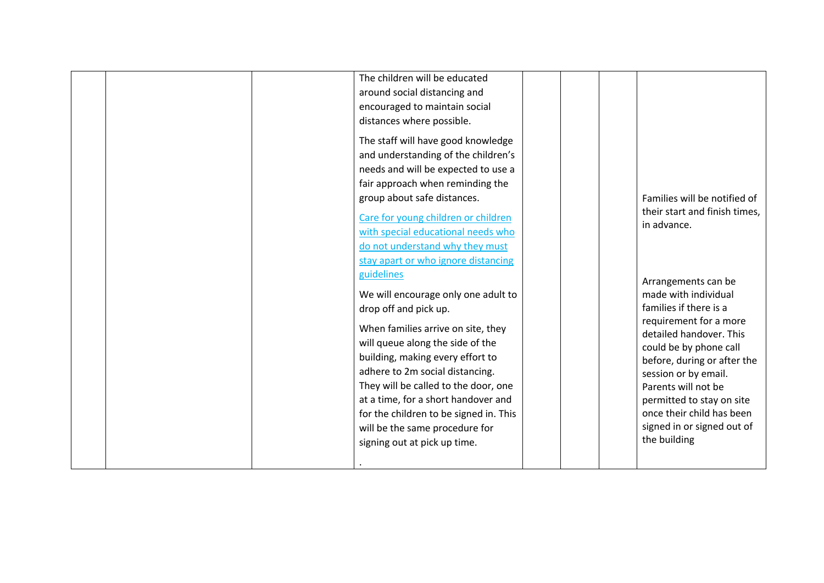|  | The children will be educated<br>around social distancing and<br>encouraged to maintain social<br>distances where possible.<br>The staff will have good knowledge<br>and understanding of the children's<br>needs and will be expected to use a<br>fair approach when reminding the<br>group about safe distances.<br>Care for young children or children<br>with special educational needs who<br>do not understand why they must<br>stay apart or who ignore distancing<br>guidelines<br>We will encourage only one adult to<br>drop off and pick up.<br>When families arrive on site, they<br>will queue along the side of the<br>building, making every effort to<br>adhere to 2m social distancing.<br>They will be called to the door, one<br>at a time, for a short handover and<br>for the children to be signed in. This<br>will be the same procedure for<br>signing out at pick up time. |  | Families will be notified of<br>their start and finish times,<br>in advance.<br>Arrangements can be<br>made with individual<br>families if there is a<br>requirement for a more<br>detailed handover. This<br>could be by phone call<br>before, during or after the<br>session or by email.<br>Parents will not be<br>permitted to stay on site<br>once their child has been<br>signed in or signed out of<br>the building |
|--|-----------------------------------------------------------------------------------------------------------------------------------------------------------------------------------------------------------------------------------------------------------------------------------------------------------------------------------------------------------------------------------------------------------------------------------------------------------------------------------------------------------------------------------------------------------------------------------------------------------------------------------------------------------------------------------------------------------------------------------------------------------------------------------------------------------------------------------------------------------------------------------------------------|--|----------------------------------------------------------------------------------------------------------------------------------------------------------------------------------------------------------------------------------------------------------------------------------------------------------------------------------------------------------------------------------------------------------------------------|
|--|-----------------------------------------------------------------------------------------------------------------------------------------------------------------------------------------------------------------------------------------------------------------------------------------------------------------------------------------------------------------------------------------------------------------------------------------------------------------------------------------------------------------------------------------------------------------------------------------------------------------------------------------------------------------------------------------------------------------------------------------------------------------------------------------------------------------------------------------------------------------------------------------------------|--|----------------------------------------------------------------------------------------------------------------------------------------------------------------------------------------------------------------------------------------------------------------------------------------------------------------------------------------------------------------------------------------------------------------------------|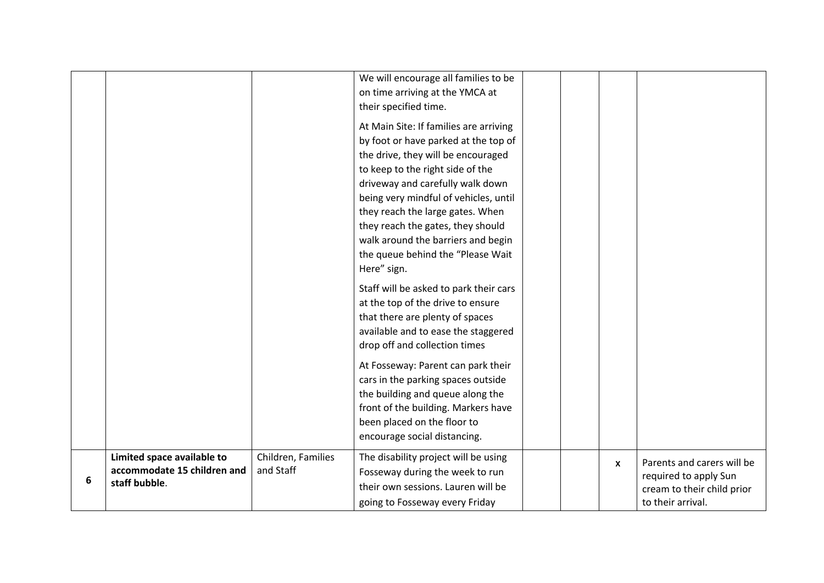|   |                                                                            |                                 | We will encourage all families to be<br>on time arriving at the YMCA at<br>their specified time.<br>At Main Site: If families are arriving<br>by foot or have parked at the top of<br>the drive, they will be encouraged<br>to keep to the right side of the<br>driveway and carefully walk down<br>being very mindful of vehicles, until<br>they reach the large gates. When<br>they reach the gates, they should<br>walk around the barriers and begin<br>the queue behind the "Please Wait<br>Here" sign. |  |                           |                                                                                                        |
|---|----------------------------------------------------------------------------|---------------------------------|--------------------------------------------------------------------------------------------------------------------------------------------------------------------------------------------------------------------------------------------------------------------------------------------------------------------------------------------------------------------------------------------------------------------------------------------------------------------------------------------------------------|--|---------------------------|--------------------------------------------------------------------------------------------------------|
|   |                                                                            |                                 | Staff will be asked to park their cars<br>at the top of the drive to ensure<br>that there are plenty of spaces<br>available and to ease the staggered<br>drop off and collection times                                                                                                                                                                                                                                                                                                                       |  |                           |                                                                                                        |
|   |                                                                            |                                 | At Fosseway: Parent can park their<br>cars in the parking spaces outside<br>the building and queue along the<br>front of the building. Markers have<br>been placed on the floor to<br>encourage social distancing.                                                                                                                                                                                                                                                                                           |  |                           |                                                                                                        |
| 6 | Limited space available to<br>accommodate 15 children and<br>staff bubble. | Children, Families<br>and Staff | The disability project will be using<br>Fosseway during the week to run<br>their own sessions. Lauren will be<br>going to Fosseway every Friday                                                                                                                                                                                                                                                                                                                                                              |  | $\boldsymbol{\mathsf{x}}$ | Parents and carers will be<br>required to apply Sun<br>cream to their child prior<br>to their arrival. |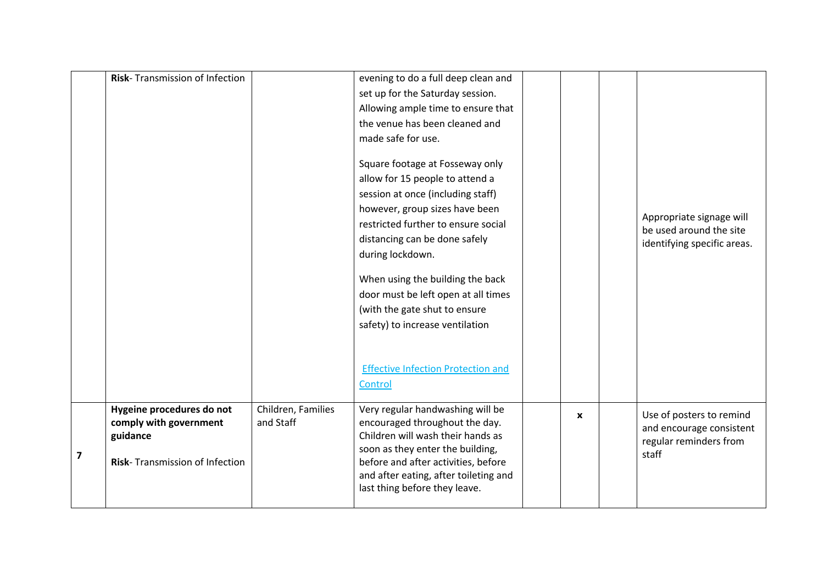|   | Risk-Transmission of Infection                                                                    |                                 | evening to do a full deep clean and<br>set up for the Saturday session.<br>Allowing ample time to ensure that<br>the venue has been cleaned and<br>made safe for use.<br>Square footage at Fosseway only<br>allow for 15 people to attend a<br>session at once (including staff)<br>however, group sizes have been<br>restricted further to ensure social<br>distancing can be done safely<br>during lockdown.<br>When using the building the back<br>door must be left open at all times<br>(with the gate shut to ensure<br>safety) to increase ventilation<br><b>Effective Infection Protection and</b><br>Control |              | Appropriate signage will<br>be used around the site<br>identifying specific areas.      |
|---|---------------------------------------------------------------------------------------------------|---------------------------------|-----------------------------------------------------------------------------------------------------------------------------------------------------------------------------------------------------------------------------------------------------------------------------------------------------------------------------------------------------------------------------------------------------------------------------------------------------------------------------------------------------------------------------------------------------------------------------------------------------------------------|--------------|-----------------------------------------------------------------------------------------|
| 7 | Hygeine procedures do not<br>comply with government<br>guidance<br>Risk-Transmission of Infection | Children, Families<br>and Staff | Very regular handwashing will be<br>encouraged throughout the day.<br>Children will wash their hands as<br>soon as they enter the building,<br>before and after activities, before<br>and after eating, after toileting and<br>last thing before they leave.                                                                                                                                                                                                                                                                                                                                                          | $\mathbf{x}$ | Use of posters to remind<br>and encourage consistent<br>regular reminders from<br>staff |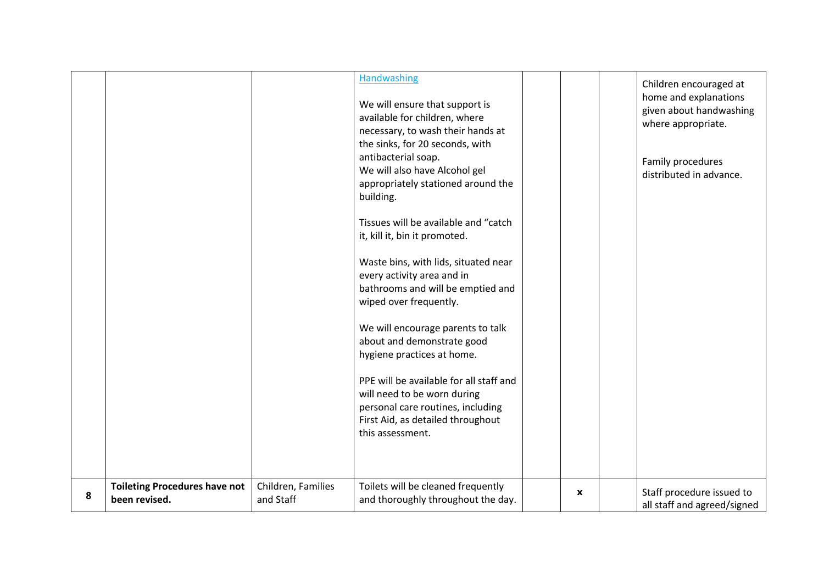|   |                                                       |                                 | <b>Handwashing</b><br>We will ensure that support is<br>available for children, where<br>necessary, to wash their hands at<br>the sinks, for 20 seconds, with<br>antibacterial soap.<br>We will also have Alcohol gel<br>appropriately stationed around the<br>building.<br>Tissues will be available and "catch<br>it, kill it, bin it promoted.<br>Waste bins, with lids, situated near<br>every activity area and in<br>bathrooms and will be emptied and<br>wiped over frequently.<br>We will encourage parents to talk<br>about and demonstrate good<br>hygiene practices at home.<br>PPE will be available for all staff and<br>will need to be worn during<br>personal care routines, including<br>First Aid, as detailed throughout<br>this assessment. |   | Children encouraged at<br>home and explanations<br>given about handwashing<br>where appropriate.<br>Family procedures<br>distributed in advance. |
|---|-------------------------------------------------------|---------------------------------|-----------------------------------------------------------------------------------------------------------------------------------------------------------------------------------------------------------------------------------------------------------------------------------------------------------------------------------------------------------------------------------------------------------------------------------------------------------------------------------------------------------------------------------------------------------------------------------------------------------------------------------------------------------------------------------------------------------------------------------------------------------------|---|--------------------------------------------------------------------------------------------------------------------------------------------------|
| 8 | <b>Toileting Procedures have not</b><br>been revised. | Children, Families<br>and Staff | Toilets will be cleaned frequently<br>and thoroughly throughout the day.                                                                                                                                                                                                                                                                                                                                                                                                                                                                                                                                                                                                                                                                                        | X | Staff procedure issued to<br>all staff and agreed/signed                                                                                         |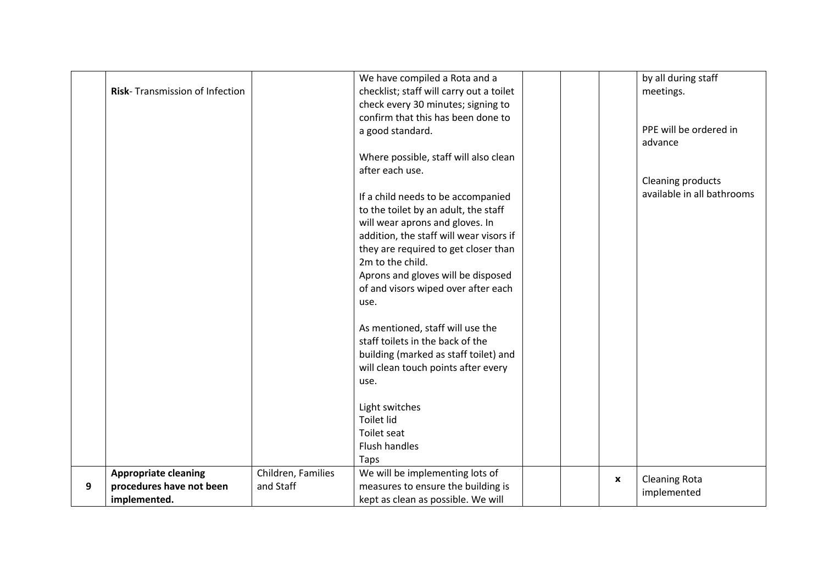|   |                                |                    | We have compiled a Rota and a            |                    | by all during staff        |  |
|---|--------------------------------|--------------------|------------------------------------------|--------------------|----------------------------|--|
|   | Risk-Transmission of Infection |                    | checklist; staff will carry out a toilet |                    | meetings.                  |  |
|   |                                |                    | check every 30 minutes; signing to       |                    |                            |  |
|   |                                |                    | confirm that this has been done to       |                    |                            |  |
|   |                                |                    | a good standard.                         |                    | PPE will be ordered in     |  |
|   |                                |                    |                                          |                    | advance                    |  |
|   |                                |                    | Where possible, staff will also clean    |                    |                            |  |
|   |                                |                    | after each use.                          |                    |                            |  |
|   |                                |                    |                                          |                    | <b>Cleaning products</b>   |  |
|   |                                |                    | If a child needs to be accompanied       |                    | available in all bathrooms |  |
|   |                                |                    | to the toilet by an adult, the staff     |                    |                            |  |
|   |                                |                    | will wear aprons and gloves. In          |                    |                            |  |
|   |                                |                    | addition, the staff will wear visors if  |                    |                            |  |
|   |                                |                    | they are required to get closer than     |                    |                            |  |
|   |                                |                    | 2m to the child.                         |                    |                            |  |
|   |                                |                    | Aprons and gloves will be disposed       |                    |                            |  |
|   |                                |                    | of and visors wiped over after each      |                    |                            |  |
|   |                                |                    | use.                                     |                    |                            |  |
|   |                                |                    | As mentioned, staff will use the         |                    |                            |  |
|   |                                |                    | staff toilets in the back of the         |                    |                            |  |
|   |                                |                    | building (marked as staff toilet) and    |                    |                            |  |
|   |                                |                    | will clean touch points after every      |                    |                            |  |
|   |                                |                    | use.                                     |                    |                            |  |
|   |                                |                    | Light switches                           |                    |                            |  |
|   |                                |                    | <b>Toilet lid</b>                        |                    |                            |  |
|   |                                |                    | Toilet seat                              |                    |                            |  |
|   |                                |                    | <b>Flush handles</b>                     |                    |                            |  |
|   |                                |                    | Taps                                     |                    |                            |  |
|   | <b>Appropriate cleaning</b>    | Children, Families | We will be implementing lots of          |                    |                            |  |
| 9 | procedures have not been       | and Staff          | measures to ensure the building is       | $\pmb{\mathsf{x}}$ | <b>Cleaning Rota</b>       |  |
|   | implemented.                   |                    | kept as clean as possible. We will       |                    | implemented                |  |
|   |                                |                    |                                          |                    |                            |  |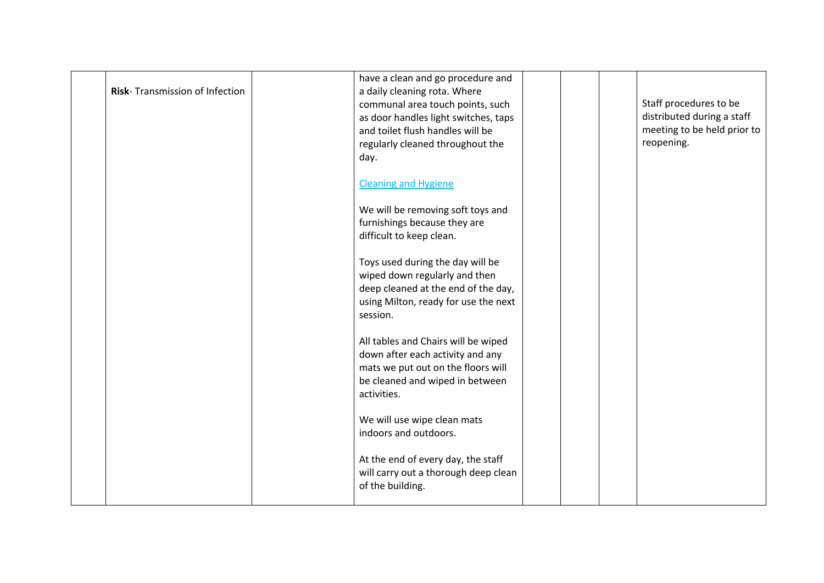| Risk-Transmission of Infection | have a clean and go procedure and<br>a daily cleaning rota. Where<br>communal area touch points, such<br>as door handles light switches, taps<br>and toilet flush handles will be<br>regularly cleaned throughout the<br>day. |  | Staff procedures to be<br>distributed during a staff<br>meeting to be held prior to<br>reopening. |
|--------------------------------|-------------------------------------------------------------------------------------------------------------------------------------------------------------------------------------------------------------------------------|--|---------------------------------------------------------------------------------------------------|
|                                | <b>Cleaning and Hygiene</b><br>We will be removing soft toys and                                                                                                                                                              |  |                                                                                                   |
|                                | furnishings because they are<br>difficult to keep clean.<br>Toys used during the day will be                                                                                                                                  |  |                                                                                                   |
|                                | wiped down regularly and then<br>deep cleaned at the end of the day,<br>using Milton, ready for use the next<br>session.                                                                                                      |  |                                                                                                   |
|                                | All tables and Chairs will be wiped<br>down after each activity and any<br>mats we put out on the floors will<br>be cleaned and wiped in between<br>activities.                                                               |  |                                                                                                   |
|                                | We will use wipe clean mats<br>indoors and outdoors.                                                                                                                                                                          |  |                                                                                                   |
|                                | At the end of every day, the staff<br>will carry out a thorough deep clean<br>of the building.                                                                                                                                |  |                                                                                                   |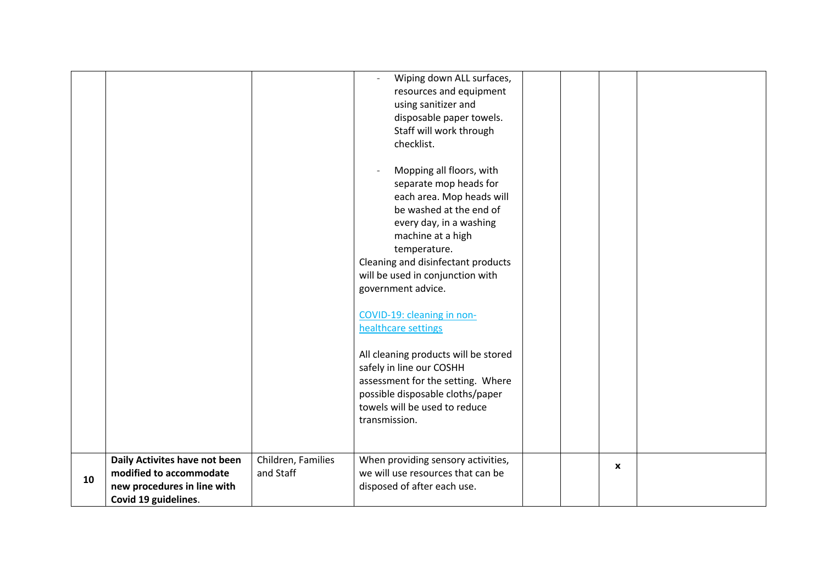|    |                                                     |                    | Wiping down ALL surfaces,<br>resources and equipment<br>using sanitizer and<br>disposable paper towels.<br>Staff will work through<br>checklist.<br>Mopping all floors, with<br>separate mop heads for<br>each area. Mop heads will<br>be washed at the end of<br>every day, in a washing<br>machine at a high<br>temperature.<br>Cleaning and disinfectant products<br>will be used in conjunction with<br>government advice.<br>COVID-19: cleaning in non-<br>healthcare settings<br>All cleaning products will be stored<br>safely in line our COSHH<br>assessment for the setting. Where<br>possible disposable cloths/paper |  |              |  |
|----|-----------------------------------------------------|--------------------|----------------------------------------------------------------------------------------------------------------------------------------------------------------------------------------------------------------------------------------------------------------------------------------------------------------------------------------------------------------------------------------------------------------------------------------------------------------------------------------------------------------------------------------------------------------------------------------------------------------------------------|--|--------------|--|
|    |                                                     |                    |                                                                                                                                                                                                                                                                                                                                                                                                                                                                                                                                                                                                                                  |  |              |  |
|    |                                                     |                    |                                                                                                                                                                                                                                                                                                                                                                                                                                                                                                                                                                                                                                  |  |              |  |
|    |                                                     |                    |                                                                                                                                                                                                                                                                                                                                                                                                                                                                                                                                                                                                                                  |  |              |  |
|    |                                                     |                    |                                                                                                                                                                                                                                                                                                                                                                                                                                                                                                                                                                                                                                  |  |              |  |
|    |                                                     |                    |                                                                                                                                                                                                                                                                                                                                                                                                                                                                                                                                                                                                                                  |  |              |  |
|    |                                                     |                    | towels will be used to reduce                                                                                                                                                                                                                                                                                                                                                                                                                                                                                                                                                                                                    |  |              |  |
|    |                                                     |                    | transmission.                                                                                                                                                                                                                                                                                                                                                                                                                                                                                                                                                                                                                    |  |              |  |
|    |                                                     |                    |                                                                                                                                                                                                                                                                                                                                                                                                                                                                                                                                                                                                                                  |  |              |  |
|    | Daily Activites have not been                       | Children, Families | When providing sensory activities,                                                                                                                                                                                                                                                                                                                                                                                                                                                                                                                                                                                               |  | $\mathbf{x}$ |  |
| 10 | modified to accommodate                             | and Staff          | we will use resources that can be                                                                                                                                                                                                                                                                                                                                                                                                                                                                                                                                                                                                |  |              |  |
|    | new procedures in line with<br>Covid 19 guidelines. |                    | disposed of after each use.                                                                                                                                                                                                                                                                                                                                                                                                                                                                                                                                                                                                      |  |              |  |
|    |                                                     |                    |                                                                                                                                                                                                                                                                                                                                                                                                                                                                                                                                                                                                                                  |  |              |  |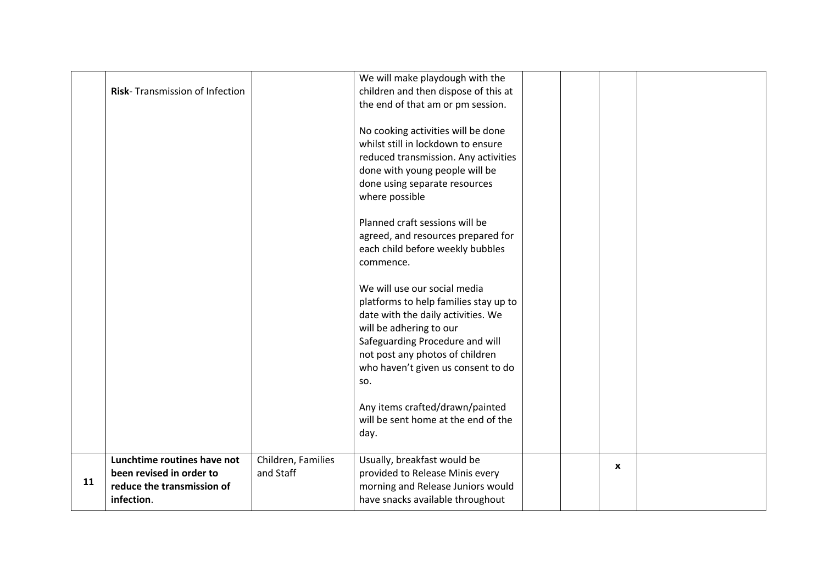|    | Risk-Transmission of Infection                                                                      |                                 | We will make playdough with the<br>children and then dispose of this at<br>the end of that am or pm session.                                                                                                                                              |  |             |  |
|----|-----------------------------------------------------------------------------------------------------|---------------------------------|-----------------------------------------------------------------------------------------------------------------------------------------------------------------------------------------------------------------------------------------------------------|--|-------------|--|
|    |                                                                                                     |                                 | No cooking activities will be done<br>whilst still in lockdown to ensure<br>reduced transmission. Any activities<br>done with young people will be<br>done using separate resources<br>where possible                                                     |  |             |  |
|    |                                                                                                     |                                 | Planned craft sessions will be<br>agreed, and resources prepared for<br>each child before weekly bubbles<br>commence.                                                                                                                                     |  |             |  |
|    |                                                                                                     |                                 | We will use our social media<br>platforms to help families stay up to<br>date with the daily activities. We<br>will be adhering to our<br>Safeguarding Procedure and will<br>not post any photos of children<br>who haven't given us consent to do<br>SO. |  |             |  |
|    |                                                                                                     |                                 | Any items crafted/drawn/painted<br>will be sent home at the end of the<br>day.                                                                                                                                                                            |  |             |  |
| 11 | Lunchtime routines have not<br>been revised in order to<br>reduce the transmission of<br>infection. | Children, Families<br>and Staff | Usually, breakfast would be<br>provided to Release Minis every<br>morning and Release Juniors would<br>have snacks available throughout                                                                                                                   |  | $\mathbf x$ |  |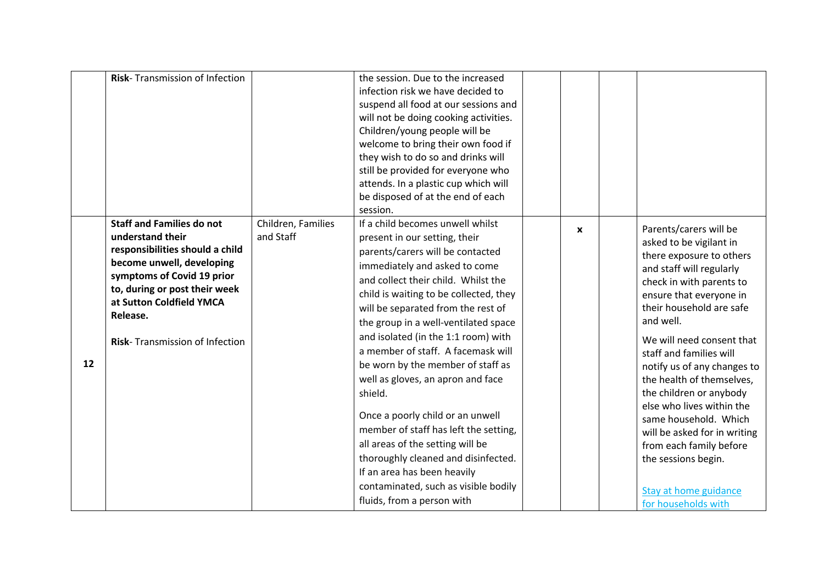|    | Risk-Transmission of Infection                                                                                                                                                                                                                                |                                 | the session. Due to the increased<br>infection risk we have decided to<br>suspend all food at our sessions and<br>will not be doing cooking activities.<br>Children/young people will be<br>welcome to bring their own food if<br>they wish to do so and drinks will<br>still be provided for everyone who<br>attends. In a plastic cup which will<br>be disposed of at the end of each<br>session.                                                                                                                                                                                                                                                                                                                                  |              |                                                                                                                                                                                                                                                                                                                                                                                                                                                                                                                                                  |
|----|---------------------------------------------------------------------------------------------------------------------------------------------------------------------------------------------------------------------------------------------------------------|---------------------------------|--------------------------------------------------------------------------------------------------------------------------------------------------------------------------------------------------------------------------------------------------------------------------------------------------------------------------------------------------------------------------------------------------------------------------------------------------------------------------------------------------------------------------------------------------------------------------------------------------------------------------------------------------------------------------------------------------------------------------------------|--------------|--------------------------------------------------------------------------------------------------------------------------------------------------------------------------------------------------------------------------------------------------------------------------------------------------------------------------------------------------------------------------------------------------------------------------------------------------------------------------------------------------------------------------------------------------|
| 12 | <b>Staff and Families do not</b><br>understand their<br>responsibilities should a child<br>become unwell, developing<br>symptoms of Covid 19 prior<br>to, during or post their week<br>at Sutton Coldfield YMCA<br>Release.<br>Risk-Transmission of Infection | Children, Families<br>and Staff | If a child becomes unwell whilst<br>present in our setting, their<br>parents/carers will be contacted<br>immediately and asked to come<br>and collect their child. Whilst the<br>child is waiting to be collected, they<br>will be separated from the rest of<br>the group in a well-ventilated space<br>and isolated (in the 1:1 room) with<br>a member of staff. A facemask will<br>be worn by the member of staff as<br>well as gloves, an apron and face<br>shield.<br>Once a poorly child or an unwell<br>member of staff has left the setting,<br>all areas of the setting will be<br>thoroughly cleaned and disinfected.<br>If an area has been heavily<br>contaminated, such as visible bodily<br>fluids, from a person with | $\mathbf{x}$ | Parents/carers will be<br>asked to be vigilant in<br>there exposure to others<br>and staff will regularly<br>check in with parents to<br>ensure that everyone in<br>their household are safe<br>and well.<br>We will need consent that<br>staff and families will<br>notify us of any changes to<br>the health of themselves,<br>the children or anybody<br>else who lives within the<br>same household. Which<br>will be asked for in writing<br>from each family before<br>the sessions begin.<br>Stay at home guidance<br>for households with |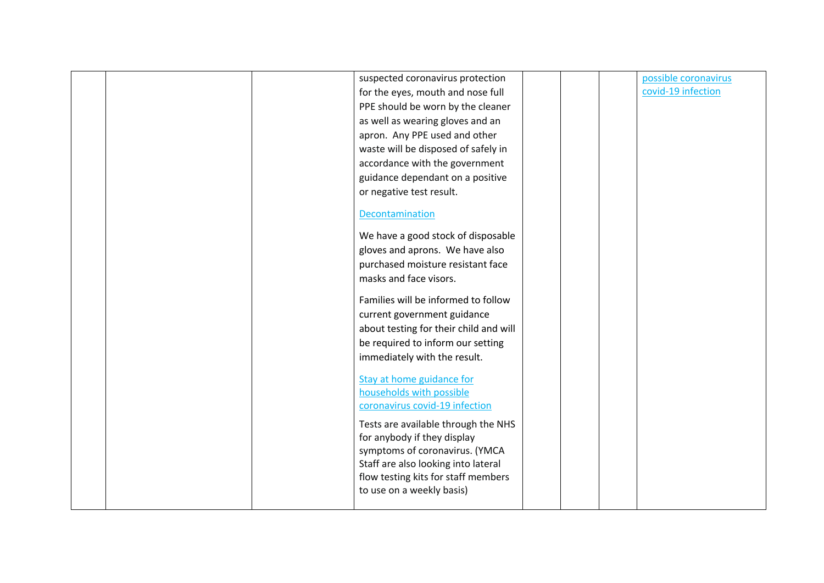|  | suspected coronavirus protection                                 |  | possible coronavirus |
|--|------------------------------------------------------------------|--|----------------------|
|  | for the eyes, mouth and nose full                                |  | covid-19 infection   |
|  | PPE should be worn by the cleaner                                |  |                      |
|  | as well as wearing gloves and an                                 |  |                      |
|  | apron. Any PPE used and other                                    |  |                      |
|  | waste will be disposed of safely in                              |  |                      |
|  | accordance with the government                                   |  |                      |
|  | guidance dependant on a positive                                 |  |                      |
|  | or negative test result.                                         |  |                      |
|  |                                                                  |  |                      |
|  | Decontamination                                                  |  |                      |
|  | We have a good stock of disposable                               |  |                      |
|  | gloves and aprons. We have also                                  |  |                      |
|  | purchased moisture resistant face                                |  |                      |
|  | masks and face visors.                                           |  |                      |
|  |                                                                  |  |                      |
|  | Families will be informed to follow                              |  |                      |
|  | current government guidance                                      |  |                      |
|  | about testing for their child and will                           |  |                      |
|  | be required to inform our setting                                |  |                      |
|  | immediately with the result.                                     |  |                      |
|  |                                                                  |  |                      |
|  | Stay at home guidance for<br>households with possible            |  |                      |
|  | coronavirus covid-19 infection                                   |  |                      |
|  |                                                                  |  |                      |
|  | Tests are available through the NHS                              |  |                      |
|  | for anybody if they display                                      |  |                      |
|  | symptoms of coronavirus. (YMCA                                   |  |                      |
|  | Staff are also looking into lateral                              |  |                      |
|  | flow testing kits for staff members<br>to use on a weekly basis) |  |                      |
|  |                                                                  |  |                      |
|  |                                                                  |  |                      |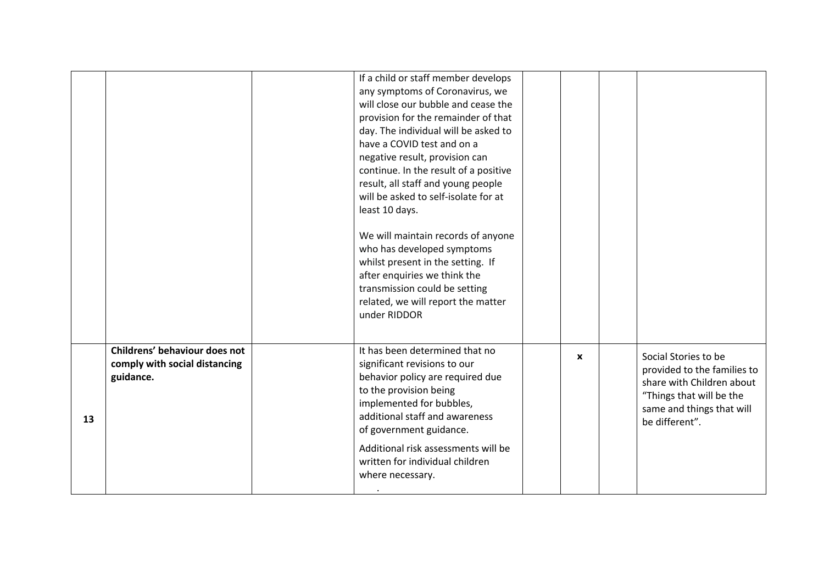|    |                               | If a child or staff member develops   |              |                             |
|----|-------------------------------|---------------------------------------|--------------|-----------------------------|
|    |                               | any symptoms of Coronavirus, we       |              |                             |
|    |                               | will close our bubble and cease the   |              |                             |
|    |                               | provision for the remainder of that   |              |                             |
|    |                               | day. The individual will be asked to  |              |                             |
|    |                               | have a COVID test and on a            |              |                             |
|    |                               | negative result, provision can        |              |                             |
|    |                               | continue. In the result of a positive |              |                             |
|    |                               | result, all staff and young people    |              |                             |
|    |                               | will be asked to self-isolate for at  |              |                             |
|    |                               | least 10 days.                        |              |                             |
|    |                               | We will maintain records of anyone    |              |                             |
|    |                               | who has developed symptoms            |              |                             |
|    |                               | whilst present in the setting. If     |              |                             |
|    |                               | after enquiries we think the          |              |                             |
|    |                               | transmission could be setting         |              |                             |
|    |                               | related, we will report the matter    |              |                             |
|    |                               | under RIDDOR                          |              |                             |
|    |                               |                                       |              |                             |
|    | Childrens' behaviour does not | It has been determined that no        | $\mathbf{x}$ | Social Stories to be        |
|    | comply with social distancing | significant revisions to our          |              | provided to the families to |
|    | guidance.                     | behavior policy are required due      |              | share with Children about   |
|    |                               | to the provision being                |              | "Things that will be the    |
|    |                               | implemented for bubbles,              |              | same and things that will   |
| 13 |                               | additional staff and awareness        |              | be different".              |
|    |                               | of government guidance.               |              |                             |
|    |                               | Additional risk assessments will be   |              |                             |
|    |                               | written for individual children       |              |                             |
|    |                               | where necessary.                      |              |                             |
|    |                               |                                       |              |                             |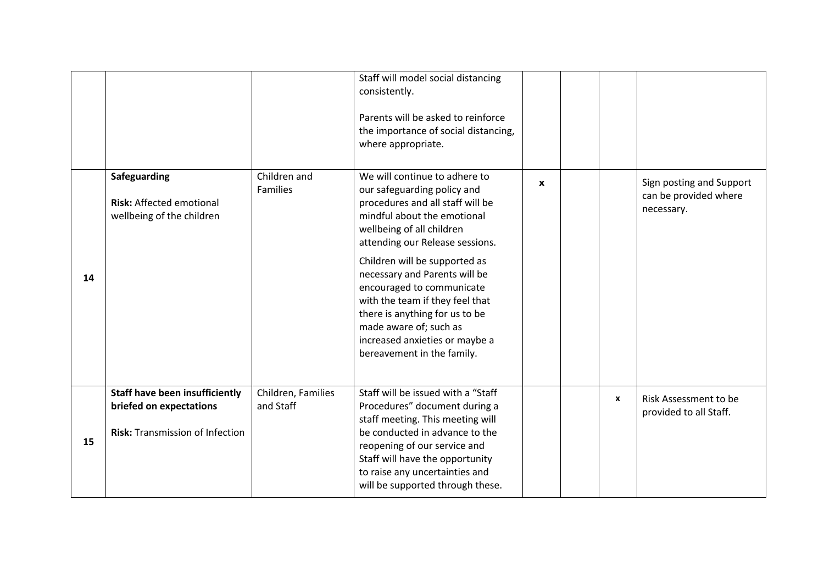|    |                                                                                                            |                                 | Staff will model social distancing<br>consistently.<br>Parents will be asked to reinforce<br>the importance of social distancing,<br>where appropriate.                                                                                                                                                                                                                                                                                                       |              |              |                                                                 |
|----|------------------------------------------------------------------------------------------------------------|---------------------------------|---------------------------------------------------------------------------------------------------------------------------------------------------------------------------------------------------------------------------------------------------------------------------------------------------------------------------------------------------------------------------------------------------------------------------------------------------------------|--------------|--------------|-----------------------------------------------------------------|
| 14 | Safeguarding<br><b>Risk: Affected emotional</b><br>wellbeing of the children                               | Children and<br><b>Families</b> | We will continue to adhere to<br>our safeguarding policy and<br>procedures and all staff will be<br>mindful about the emotional<br>wellbeing of all children<br>attending our Release sessions.<br>Children will be supported as<br>necessary and Parents will be<br>encouraged to communicate<br>with the team if they feel that<br>there is anything for us to be<br>made aware of; such as<br>increased anxieties or maybe a<br>bereavement in the family. | $\mathbf{x}$ |              | Sign posting and Support<br>can be provided where<br>necessary. |
| 15 | <b>Staff have been insufficiently</b><br>briefed on expectations<br><b>Risk: Transmission of Infection</b> | Children, Families<br>and Staff | Staff will be issued with a "Staff<br>Procedures" document during a<br>staff meeting. This meeting will<br>be conducted in advance to the<br>reopening of our service and<br>Staff will have the opportunity<br>to raise any uncertainties and<br>will be supported through these.                                                                                                                                                                            |              | $\mathbf{x}$ | Risk Assessment to be<br>provided to all Staff.                 |